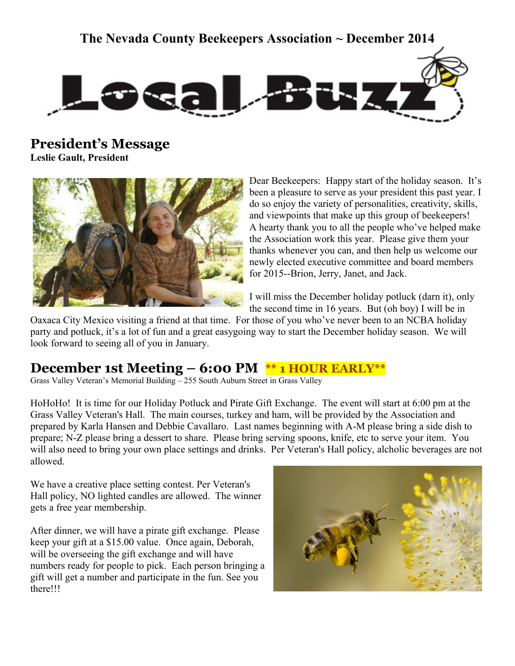### **The Nevada County Beekeepers Association ~ December 2014**



**President's Message**

**Leslie Gault, President**



Dear Beekeepers: Happy start of the holiday season. It's been a pleasure to serve as your president this past year. I do so enjoy the variety of personalities, creativity, skills, and viewpoints that make up this group of beekeepers! A hearty thank you to all the people who've helped make the Association work this year. Please give them your thanks whenever you can, and then help us welcome our newly elected executive committee and board members for 2015--Brion, Jerry, Janet, and Jack.

I will miss the December holiday potluck (darn it), only the second time in 16 years. But (oh boy) I will be in

Oaxaca City Mexico visiting a friend at that time. For those of you who've never been to an NCBA holiday party and potluck, it's a lot of fun and a great easygoing way to start the December holiday season. We will look forward to seeing all of you in January.

### **December 1st Meeting – 6:00 PM \*\* 1 HOUR EARLY\*\***

Grass Valley Veteran's Memorial Building – 255 South Auburn Street in Grass Valley

HoHoHo! It is time for our Holiday Potluck and Pirate Gift Exchange. The event will start at 6:00 pm at the Grass Valley Veteran's Hall. The main courses, turkey and ham, will be provided by the Association and prepared by Karla Hansen and Debbie Cavallaro. Last names beginning with A-M please bring a side dish to prepare; N-Z please bring a dessert to share. Please bring serving spoons, knife, etc to serve your item. You will also need to bring your own place settings and drinks. Per Veteran's Hall policy, alcholic beverages are not allowed.

We have a creative place setting contest. Per Veteran's Hall policy, NO lighted candles are allowed. The winner gets a free year membership.

After dinner, we will have a pirate gift exchange. Please keep your gift at a \$15.00 value. Once again, Deborah, will be overseeing the gift exchange and will have numbers ready for people to pick. Each person bringing a gift will get a number and participate in the fun. See you there!!!

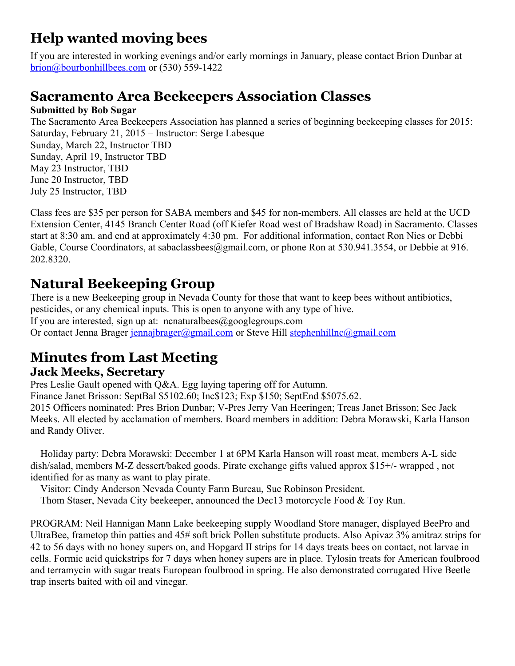### **Help wanted moving bees**

If you are interested in working evenings and/or early mornings in January, please contact Brion Dunbar at brion@bourbonhillbees.com or (530) 559-1422

### **Sacramento Area Beekeepers Association Classes**

#### **Submitted by Bob Sugar**

The Sacramento Area Beekeepers Association has planned a series of beginning beekeeping classes for 2015: Saturday, February 21, 2015 – Instructor: Serge Labesque Sunday, March 22, Instructor TBD Sunday, April 19, Instructor TBD May 23 Instructor, TBD June 20 Instructor, TBD July 25 Instructor, TBD

Class fees are \$35 per person for SABA members and \$45 for non-members. All classes are held at the UCD Extension Center, 4145 Branch Center Road (off Kiefer Road west of Bradshaw Road) in Sacramento. Classes start at 8:30 am. and end at approximately 4:30 pm. For additional information, contact Ron Nies or Debbi Gable, Course Coordinators, at sabaclassbees@gmail.com, or phone Ron at 530.941.3554, or Debbie at 916. 202.8320.

### **Natural Beekeeping Group**

There is a new Beekeeping group in Nevada County for those that want to keep bees without antibiotics, pesticides, or any chemical inputs. This is open to anyone with any type of hive. If you are interested, sign up at: ncnaturalbees@googlegroups.com Or contact Jenna Brager [jennajbrager@gmail.com](mailto:jennajbrager@gmail.com) or Steve Hill [stephenhillnc@gmail.com](mailto:stephenhillnc@gmail.com)

# **Minutes from Last Meeting**

### **Jack Meeks, Secretary**

Pres Leslie Gault opened with Q&A. Egg laying tapering off for Autumn. Finance Janet Brisson: SeptBal \$5102.60; Inc\$123; Exp \$150; SeptEnd \$5075.62. 2015 Officers nominated: Pres Brion Dunbar; V-Pres Jerry Van Heeringen; Treas Janet Brisson; Sec Jack Meeks. All elected by acclamation of members. Board members in addition: Debra Morawski, Karla Hanson and Randy Oliver.

 Holiday party: Debra Morawski: December 1 at 6PM Karla Hanson will roast meat, members A-L side dish/salad, members M-Z dessert/baked goods. Pirate exchange gifts valued approx \$15+/- wrapped , not identified for as many as want to play pirate.

Visitor: Cindy Anderson Nevada County Farm Bureau, Sue Robinson President.

Thom Staser, Nevada City beekeeper, announced the Dec13 motorcycle Food & Toy Run.

PROGRAM: Neil Hannigan Mann Lake beekeeping supply Woodland Store manager, displayed BeePro and UltraBee, frametop thin patties and 45# soft brick Pollen substitute products. Also Apivaz 3% amitraz strips for 42 to 56 days with no honey supers on, and Hopgard II strips for 14 days treats bees on contact, not larvae in cells. Formic acid quickstrips for 7 days when honey supers are in place. Tylosin treats for American foulbrood and terramycin with sugar treats European foulbrood in spring. He also demonstrated corrugated Hive Beetle trap inserts baited with oil and vinegar.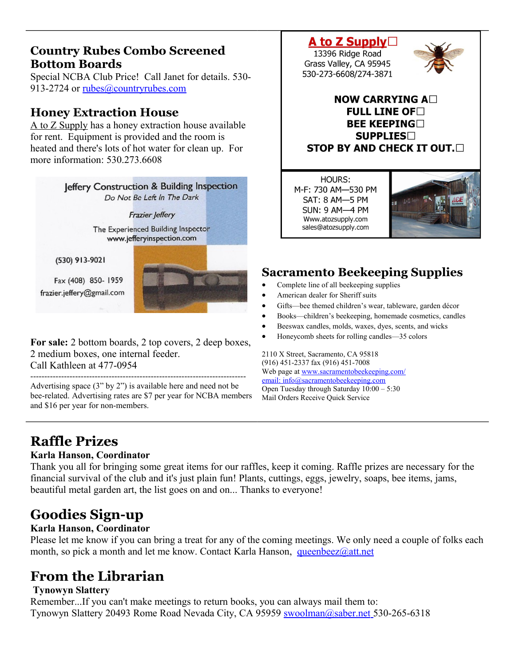### **Country Rubes Combo Screened Bottom Boards**

Special NCBA Club Price! Call Janet for details. 530 913-2724 or [rubes@countryrubes.com](mailto:rubes@countryrubes.com)

### **Honey Extraction House**

A to Z Supply has a honey extraction house available for rent. Equipment is provided and the room is heated and there's lots of hot water for clean up. For more information: 530 273 6608



**For sale:** 2 bottom boards, 2 top covers, 2 deep boxes, 2 medium boxes, one internal feeder. Call Kathleen at 477-0954

----------------------------------------------------------------------------- Advertising space (3" by 2") is available here and need not be bee-related. Advertising rates are \$7 per year for NCBA members and \$16 per year for non-members.

### A to Z Supply $\Box$

13396 Ridge Road Grass Valley, CA 95945 530-273-6608/274-3871



#### NOW CARRYING A $\square$ FULL LINE OF  $\Box$ **BEE KEEPING SUPPLIES STOP BY AND CHECK IT OUT.**

HOURS: M-F: 730 AM-530 PM SAT: 8 AM-5 PM **SUN: 9 AM-4 PM** Www.atozsupply.com sales@atozsupply.com



### **Sacramento Beekeeping Supplies**

- Complete line of all beekeeping supplies
- American dealer for Sheriff suits
- Gifts—bee themed children's wear, tableware, garden décor
- Books—children's beekeeping, homemade cosmetics, candles
- Beeswax candles, molds, waxes, dyes, scents, and wicks
- Honeycomb sheets for rolling candles—35 colors

2110 X Street, Sacramento, CA 95818 (916) 451-2337 fax (916) 451-7008 Web page at [www.sacramentobeekeeping.com/](http://www.sacramentobeekeeping.com/) email: inf[o@sacramentobeekeeping.com](mailto:%20info@sacramentobeekeeping.com) Open Tuesday through Saturday 10:00 – 5:30 Mail Orders Receive Quick Service

# **Raffle Prizes**

#### **Karla Hanson, Coordinator**

Thank you all for bringing some great items for our raffles, keep it coming. Raffle prizes are necessary for the financial survival of the club and it's just plain fun! Plants, cuttings, eggs, jewelry, soaps, bee items, jams, beautiful metal garden art, the list goes on and on... Thanks to everyone!

# **Goodies Sign-up**

#### **Karla Hanson, Coordinator**

Please let me know if you can bring a treat for any of the coming meetings. We only need a couple of folks each month, so pick a month and let me know. Contact Karla Hanson, [queenbeez@att.net](mailto:queenbeez@att.net)

# **From the Librarian**

#### **Tynowyn Slattery**

Remember...If you can't make meetings to return books, you can always mail them to: Tynowyn Slattery 20493 Rome Road Nevada City, CA 95959 **swoolman@saber.net** 530-265-6318